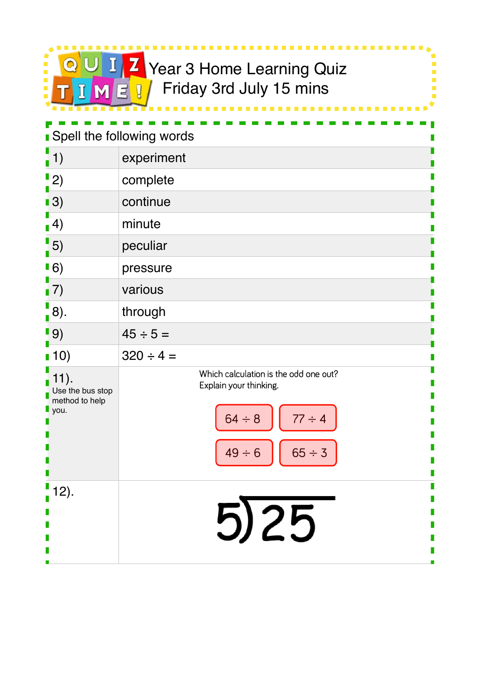

---------

Ì,  $\overline{\mathbb{R}}$ Ì.

 $\frac{1}{2}$ 

| <b>Spell the following words</b>                                    |                                                                                                                             |  |
|---------------------------------------------------------------------|-----------------------------------------------------------------------------------------------------------------------------|--|
| (1)                                                                 | experiment                                                                                                                  |  |
| $\binom{1}{2}$                                                      | complete                                                                                                                    |  |
| $\blacksquare$ 3)                                                   | continue                                                                                                                    |  |
| $\sqrt{4}$                                                          | minute                                                                                                                      |  |
| $\overline{.}5)$                                                    | peculiar                                                                                                                    |  |
| $\blacksquare$ 6)                                                   | pressure                                                                                                                    |  |
| 7)                                                                  | various                                                                                                                     |  |
| $\frac{1}{1}$ 8).                                                   | through                                                                                                                     |  |
| $\blacksquare$ 9)                                                   | $45 \div 5 =$                                                                                                               |  |
| $\blacksquare$ 10)                                                  | $320 \div 4 =$                                                                                                              |  |
| $11$ .<br>Use the bus stop<br>method to help<br>$\blacksquare$ you. | Which calculation is the odd one out?<br>Explain your thinking.<br>$64 \div 8$<br>$77 \div 4$<br>$49 \div 6$<br>$65 \div 3$ |  |
| $12$ .                                                              | 5)25                                                                                                                        |  |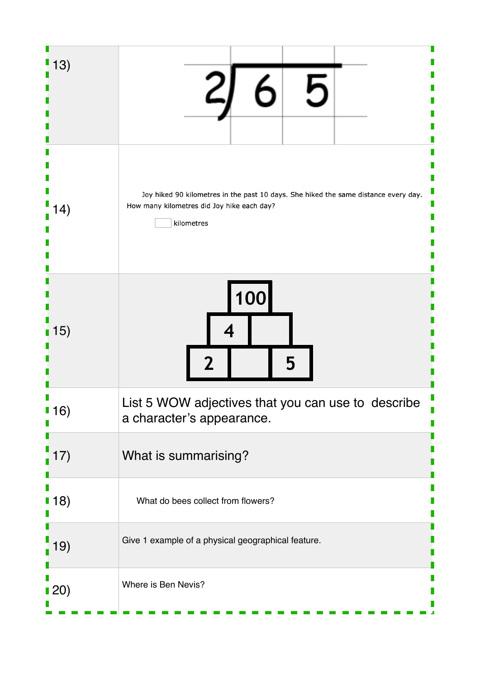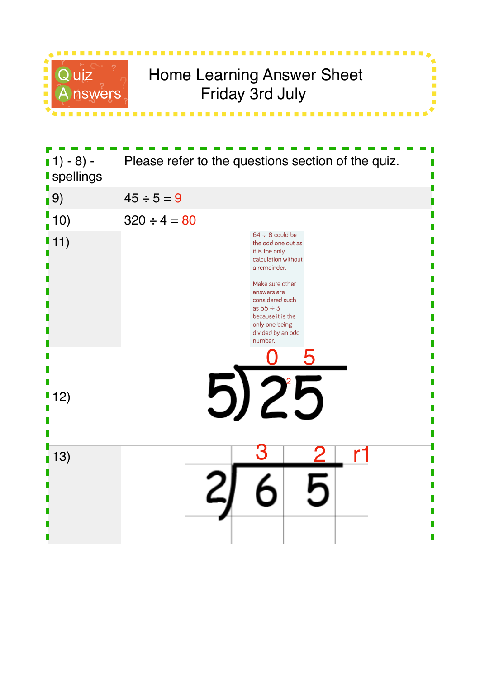

## Quiz Rome Learning Answer Sheet<br>Answers, Friday 3rd July Friday 3rd July

l. Ė  $\overline{\phantom{a}}$ 

| $(1) - 8$ ) -<br><b>spellings</b> | Please refer to the questions section of the quiz.                                                                                                                                                                                                |
|-----------------------------------|---------------------------------------------------------------------------------------------------------------------------------------------------------------------------------------------------------------------------------------------------|
| $\blacksquare$ 9)                 | $45 \div 5 = 9$                                                                                                                                                                                                                                   |
| 10)                               | $320 \div 4 = 80$                                                                                                                                                                                                                                 |
| (11)                              | $64 \div 8$ could be<br>the odd one out as<br>it is the only<br>calculation without<br>a remainder.<br>Make sure other<br>answers are<br>considered such<br>as $65 \div 3$<br>because it is the<br>only one being<br>divided by an odd<br>number. |
| 12)                               |                                                                                                                                                                                                                                                   |
| $\blacksquare$ 13)                | r1                                                                                                                                                                                                                                                |